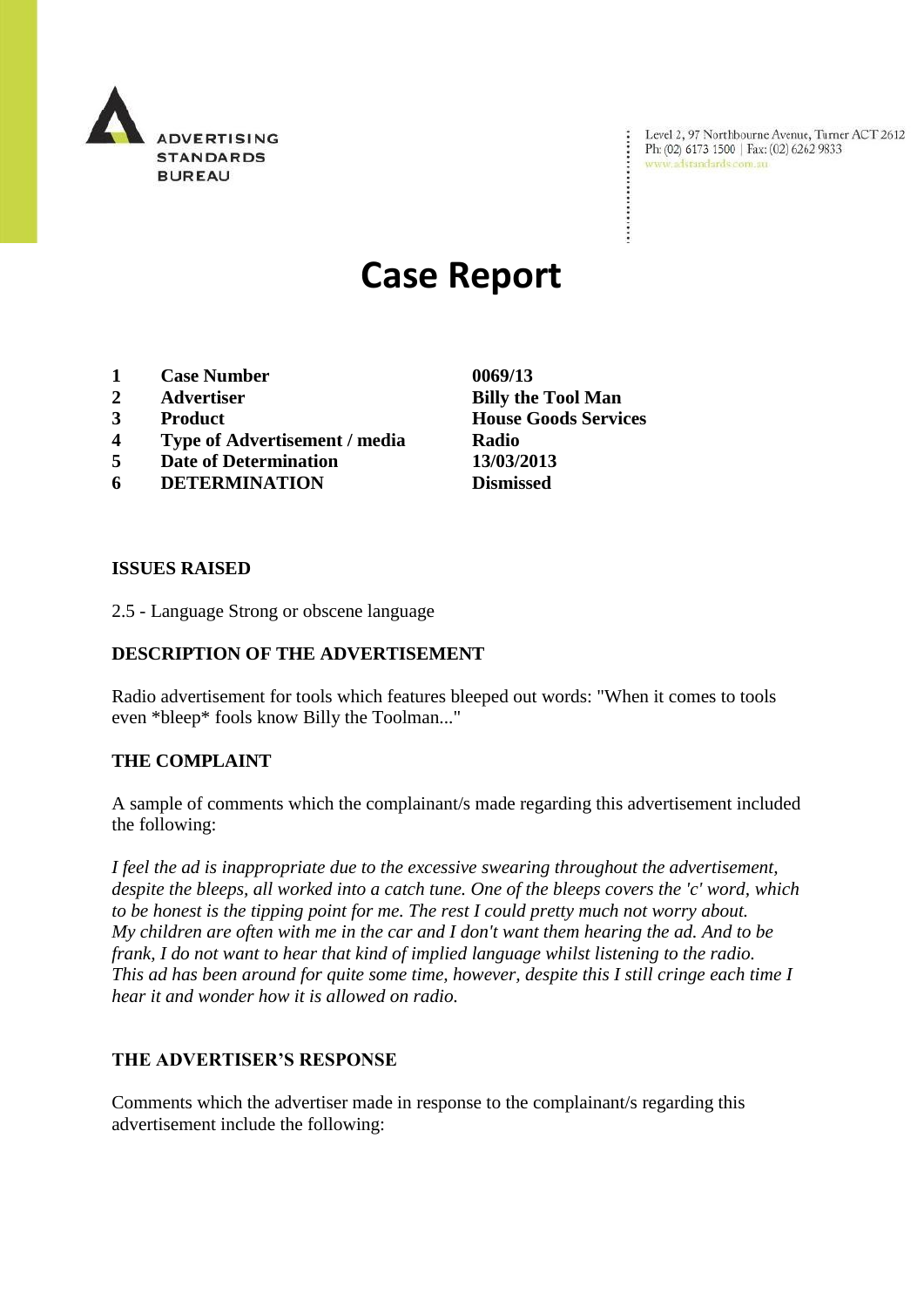

Level 2, 97 Northbourne Avenue, Turner ACT 2612 Ph: (02) 6173 1500 | Fax: (02) 6262 9833 www.adstandards.com.au

# **Case Report**

- **1 Case Number 0069/13**
- 
- 
- **4 Type of Advertisement / media Radio**
- **5 Date of Determination 13/03/2013**
- **6 DETERMINATION Dismissed**

**ISSUES RAISED**

2.5 - Language Strong or obscene language

## **DESCRIPTION OF THE ADVERTISEMENT**

Radio advertisement for tools which features bleeped out words: "When it comes to tools even \*bleep\* fools know Billy the Toolman..."

## **THE COMPLAINT**

A sample of comments which the complainant/s made regarding this advertisement included the following:

*I feel the ad is inappropriate due to the excessive swearing throughout the advertisement, despite the bleeps, all worked into a catch tune. One of the bleeps covers the 'c' word, which to be honest is the tipping point for me. The rest I could pretty much not worry about. My children are often with me in the car and I don't want them hearing the ad. And to be frank, I do not want to hear that kind of implied language whilst listening to the radio. This ad has been around for quite some time, however, despite this I still cringe each time I hear it and wonder how it is allowed on radio.*

### **THE ADVERTISER'S RESPONSE**

Comments which the advertiser made in response to the complainant/s regarding this advertisement include the following:

**2 Advertiser Billy the Tool Man 3 Product House Goods Services**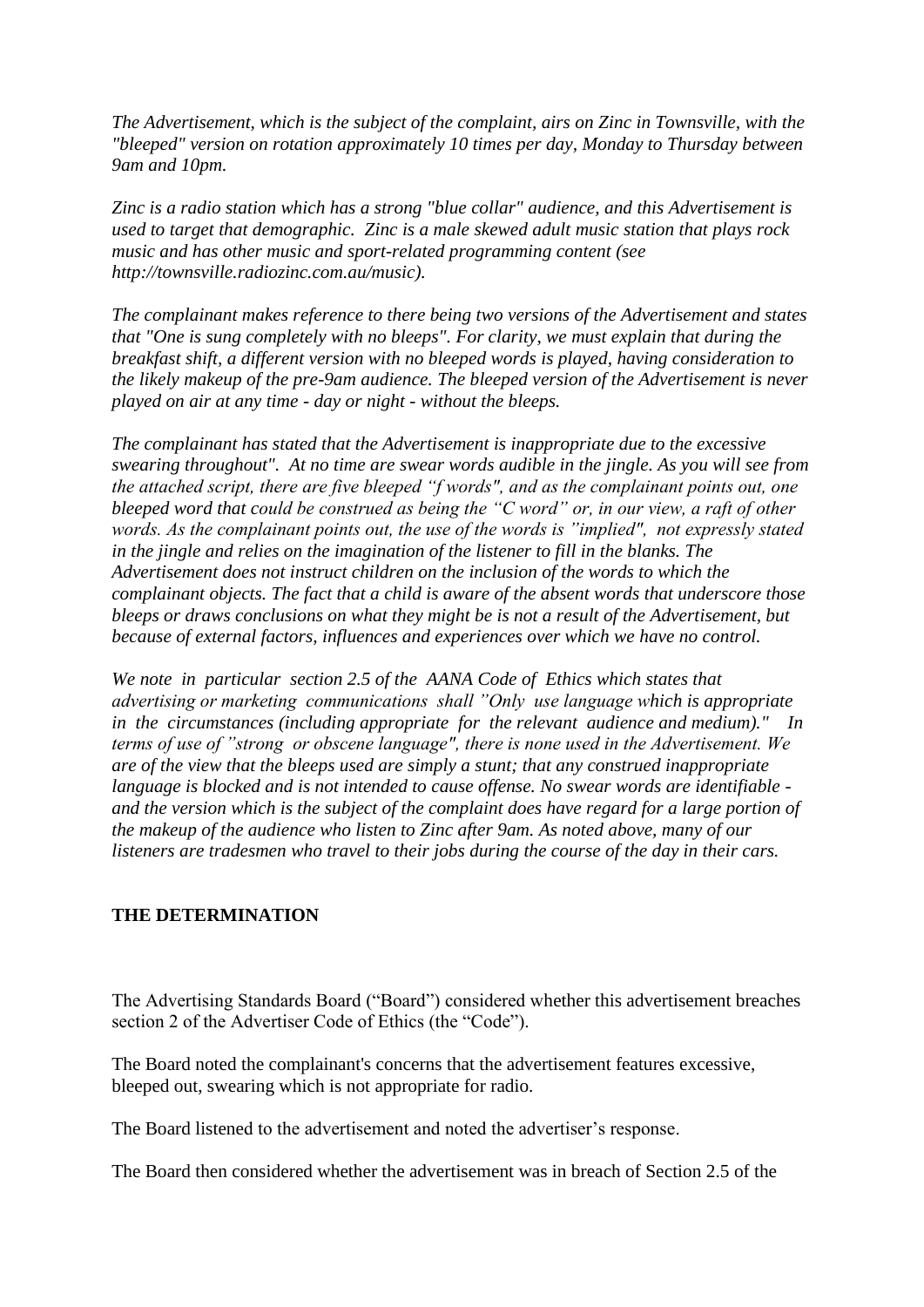*The Advertisement, which is the subject of the complaint, airs on Zinc in Townsville, with the "bleeped" version on rotation approximately 10 times per day, Monday to Thursday between 9am and 10pm.*

*Zinc is a radio station which has a strong "blue collar" audience, and this Advertisement is used to target that demographic. Zinc is a male skewed adult music station that plays rock music and has other music and sport-related programming content (see http://townsville.radiozinc.com.au/music).*

*The complainant makes reference to there being two versions of the Advertisement and states that "One is sung completely with no bleeps". For clarity, we must explain that during the breakfast shift, a different version with no bleeped words is played, having consideration to the likely makeup of the pre-9am audience. The bleeped version of the Advertisement is never played on air at any time - day or night - without the bleeps.* 

*The complainant has stated that the Advertisement is inappropriate due to the excessive swearing throughout". At no time are swear words audible in the jingle. As you will see from the attached script, there are five bleeped "f words", and as the complainant points out, one bleeped word that could be construed as being the "C word" or, in our view, a raft of other words. As the complainant points out, the use of the words is "implied", not expressly stated in the jingle and relies on the imagination of the listener to fill in the blanks. The Advertisement does not instruct children on the inclusion of the words to which the complainant objects. The fact that a child is aware of the absent words that underscore those bleeps or draws conclusions on what they might be is not a result of the Advertisement, but because of external factors, influences and experiences over which we have no control.* 

*We note in particular section 2.5 of the AANA Code of Ethics which states that advertising or marketing communications shall "Only use language which is appropriate in the circumstances (including appropriate for the relevant audience and medium)." In terms of use of "strong or obscene language", there is none used in the Advertisement. We are of the view that the bleeps used are simply a stunt; that any construed inappropriate language is blocked and is not intended to cause offense. No swear words are identifiable and the version which is the subject of the complaint does have regard for a large portion of the makeup of the audience who listen to Zinc after 9am. As noted above, many of our listeners are tradesmen who travel to their jobs during the course of the day in their cars.*

### **THE DETERMINATION**

The Advertising Standards Board ("Board") considered whether this advertisement breaches section 2 of the Advertiser Code of Ethics (the "Code").

The Board noted the complainant's concerns that the advertisement features excessive, bleeped out, swearing which is not appropriate for radio.

The Board listened to the advertisement and noted the advertiser's response.

The Board then considered whether the advertisement was in breach of Section 2.5 of the